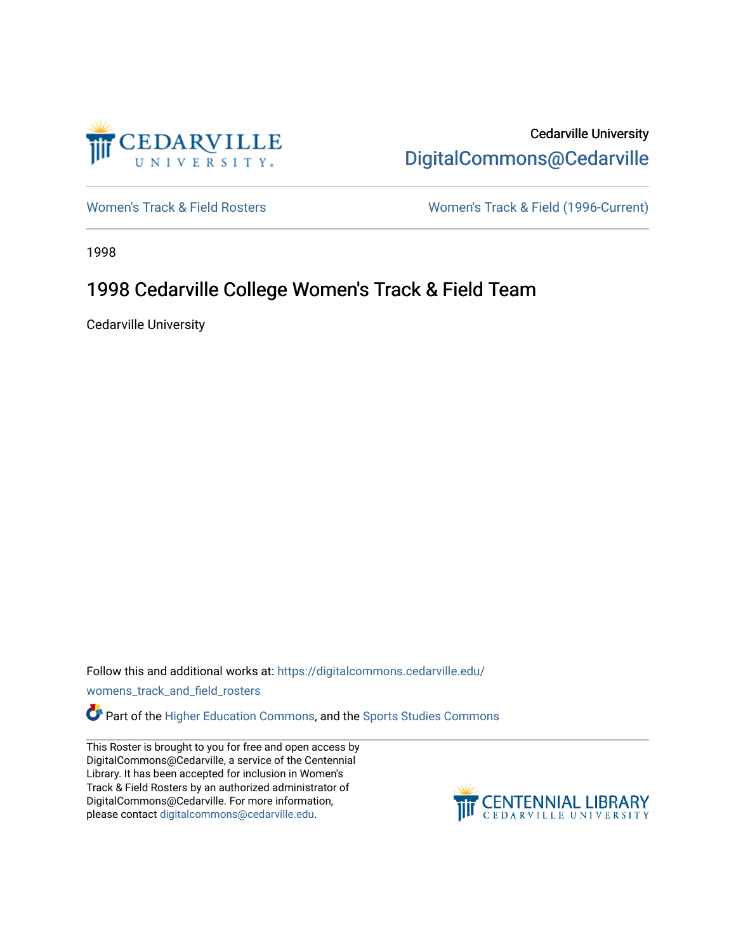

Cedarville University [DigitalCommons@Cedarville](https://digitalcommons.cedarville.edu/) 

[Women's Track & Field Rosters](https://digitalcommons.cedarville.edu/womens_track_and_field_rosters) Women's Track & Field (1996-Current)

1998

## 1998 Cedarville College Women's Track & Field Team

Cedarville University

Follow this and additional works at: [https://digitalcommons.cedarville.edu/](https://digitalcommons.cedarville.edu/womens_track_and_field_rosters?utm_source=digitalcommons.cedarville.edu%2Fwomens_track_and_field_rosters%2F19&utm_medium=PDF&utm_campaign=PDFCoverPages)

[womens\\_track\\_and\\_field\\_rosters](https://digitalcommons.cedarville.edu/womens_track_and_field_rosters?utm_source=digitalcommons.cedarville.edu%2Fwomens_track_and_field_rosters%2F19&utm_medium=PDF&utm_campaign=PDFCoverPages) 

**C** Part of the [Higher Education Commons,](http://network.bepress.com/hgg/discipline/1245?utm_source=digitalcommons.cedarville.edu%2Fwomens_track_and_field_rosters%2F19&utm_medium=PDF&utm_campaign=PDFCoverPages) and the Sports Studies Commons

This Roster is brought to you for free and open access by DigitalCommons@Cedarville, a service of the Centennial Library. It has been accepted for inclusion in Women's Track & Field Rosters by an authorized administrator of DigitalCommons@Cedarville. For more information, please contact [digitalcommons@cedarville.edu](mailto:digitalcommons@cedarville.edu).